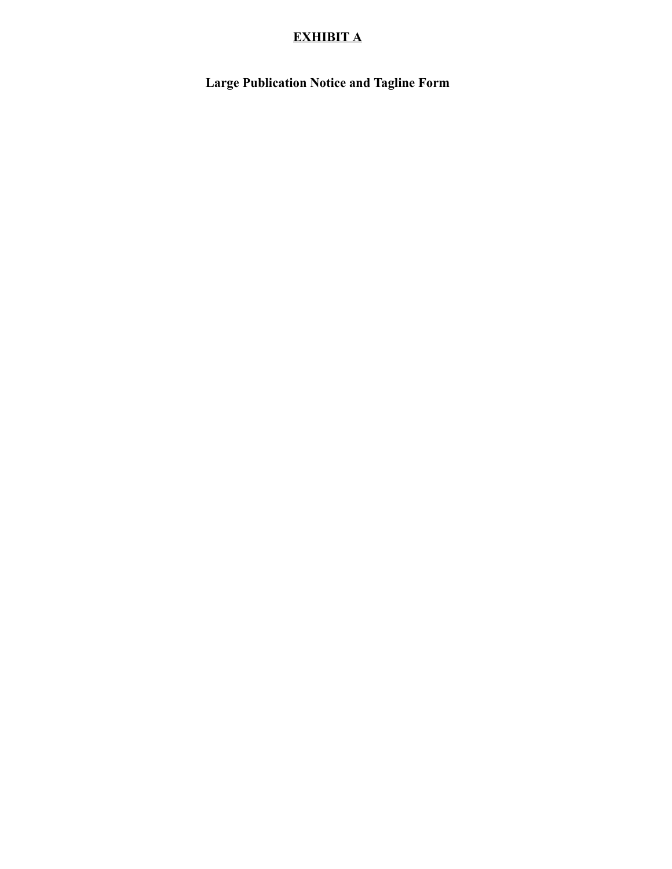## **EXHIBIT A**

**Large Publication Notice and Tagline Form**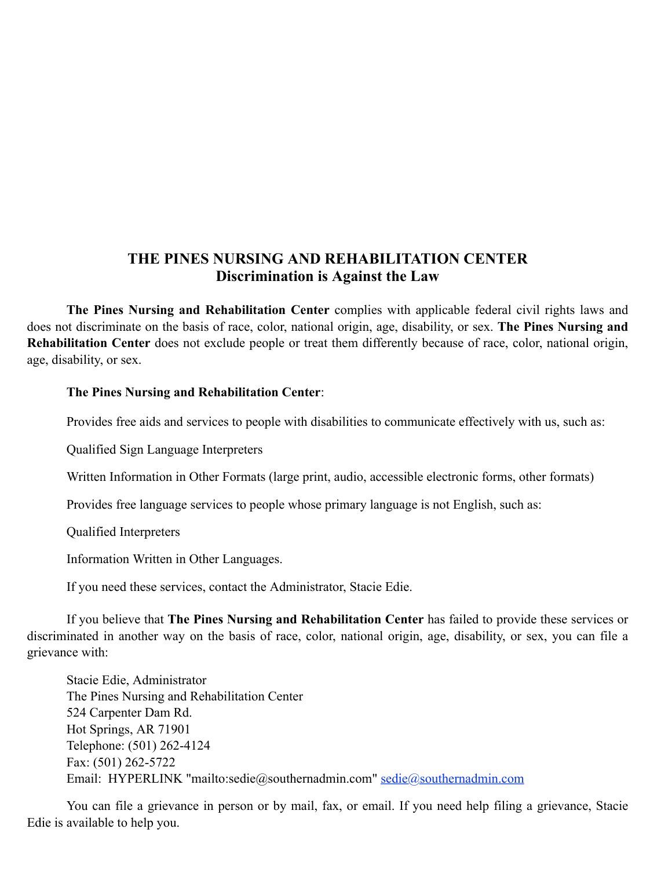## **THE PINES NURSING AND REHABILITATION CENTER Discrimination is Against the Law**

**The Pines Nursing and Rehabilitation Center** complies with applicable federal civil rights laws and does not discriminate on the basis of race, color, national origin, age, disability, or sex. **The Pines Nursing and Rehabilitation Center** does not exclude people or treat them differently because of race, color, national origin, age, disability, or sex.

## **The Pines Nursing and Rehabilitation Center**:

Provides free aids and services to people with disabilities to communicate effectively with us, such as:

Qualified Sign Language Interpreters

Written Information in Other Formats (large print, audio, accessible electronic forms, other formats)

Provides free language services to people whose primary language is not English, such as:

Qualified Interpreters

Information Written in Other Languages.

If you need these services, contact the Administrator, Stacie Edie.

If you believe that **The Pines Nursing and Rehabilitation Center** has failed to provide these services or discriminated in another way on the basis of race, color, national origin, age, disability, or sex, you can file a grievance with:

Stacie Edie, Administrator The Pines Nursing and Rehabilitation Center 524 Carpenter Dam Rd. Hot Springs, AR 71901 Telephone: (501) 262-4124 Fax: (501) 262-5722 Email: HYPERLINK "mailto:sedie@southernadmin.com" sedie@southernadmin.com

You can file a grievance in person or by mail, fax, or email. If you need help filing a grievance, Stacie Edie is available to help you.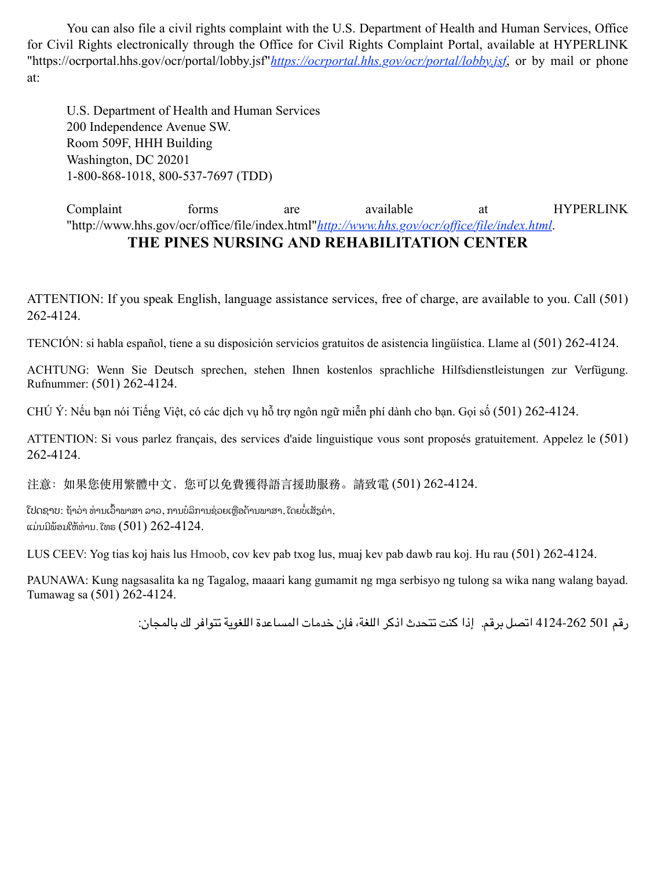You can also file a civil rights complaint with the U.S. Department of Health and Human Services, Office for Civil Rights electronically through the Office for Civil Rights Complaint Portal, available at HYPERLINK "https://ocrportal.hhs.gov/ocr/portal/lobby.jsf"*https://ocrportal.hhs.gov/ocr/portal/lobby.jsf*, or by mail or phone at:

U.S. Department of Health and Human Services 200 Independence Avenue SW. Room 509F, HHH Building Washington, DC 20201 1-800-868-1018, 800-537-7697 (TDD)

Complaint forms are available at HYPERLINK "http://www.hhs.gov/ocr/office/file/index.html"*http://www.hhs.gov/ocr/office/file/index.html*.

## **THE PINES NURSING AND REHABILITATION CENTER**

ATTENTION: If you speak English, language assistance services, free of charge, are available to you. Call (501) 262-4124.

TENCIÓN: si habla español, tiene a su disposición servicios gratuitos de asistencia lingüística. Llame al (501) 262-4124.

ACHTUNG: Wenn Sie Deutsch sprechen, stehen Ihnen kostenlos sprachliche Hilfsdienstleistungen zur Verfügung. Rufnummer: (501) 262-4124.

CHÚ Ý: Nếu bạn nói Tiếng Việt, có các dịch vụ hỗ trợ ngôn ngữ miễn phí dành cho bạn. Gọi số (501) 262-4124.

ATTENTION: Si vous parlez français, des services d'aide linguistique vous sont proposés gratuitement. Appelez le (501) 262-4124.

注意: 如果您使用繁體中文, 您可以免費獲得語言援助服務。請致電 (501) 262-4124.

ີເປດຊາບ: ຖ້າວ່າ ທ່ານເວົ້າພາສາ ລາວ, ການບໍລິການຊ່ວຍເຫຼືອດ້ານພາສາ, ໂດຍບໍ່ເສັຽຄ່າ, ແມ່ນມີພ້ອມໃຫ້ທ່ານ. ໂທຣ  $(501)$   $262-4124$ .

LUS CEEV: Yog tias koj hais lus Hmoob, cov kev pab txog lus, muaj kev pab dawb rau koj. Hu rau (501) 262-4124.

PAUNAWA: Kung nagsasalita ka ng Tagalog, maaari kang gumamit ng mga serbisyo ng tulong sa wika nang walang bayad. Tumawag sa (501) 262-4124.

رقم 501 4124-262 اتصل برقم. إذا كنت تتحدث اذكر اللغة، فإن خدمات المساعدة اللغویة تتوافر لك بالمجان: